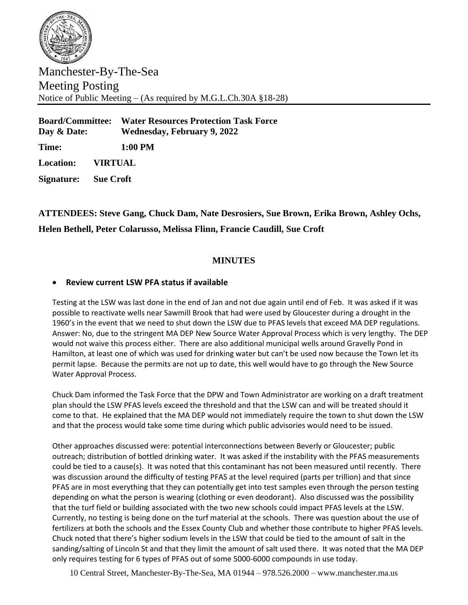

Manchester-By-The-Sea Meeting Posting Notice of Public Meeting – (As required by M.G.L.Ch.30A §18-28)

**Board/Committee: Water Resources Protection Task Force Day & Date: Wednesday, February 9, 2022 Time: 1:00 PM Location: VIRTUAL**

**Signature: Sue Croft**

## **ATTENDEES: Steve Gang, Chuck Dam, Nate Desrosiers, Sue Brown, Erika Brown, Ashley Ochs, Helen Bethell, Peter Colarusso, Melissa Flinn, Francie Caudill, Sue Croft**

## **MINUTES**

## • **Review current LSW PFA status if available**

Testing at the LSW was last done in the end of Jan and not due again until end of Feb. It was asked if it was possible to reactivate wells near Sawmill Brook that had were used by Gloucester during a drought in the 1960's in the event that we need to shut down the LSW due to PFAS levels that exceed MA DEP regulations. Answer: No, due to the stringent MA DEP New Source Water Approval Process which is very lengthy. The DEP would not waive this process either. There are also additional municipal wells around Gravelly Pond in Hamilton, at least one of which was used for drinking water but can't be used now because the Town let its permit lapse. Because the permits are not up to date, this well would have to go through the New Source Water Approval Process.

Chuck Dam informed the Task Force that the DPW and Town Administrator are working on a draft treatment plan should the LSW PFAS levels exceed the threshold and that the LSW can and will be treated should it come to that. He explained that the MA DEP would not immediately require the town to shut down the LSW and that the process would take some time during which public advisories would need to be issued.

Other approaches discussed were: potential interconnections between Beverly or Gloucester; public outreach; distribution of bottled drinking water. It was asked if the instability with the PFAS measurements could be tied to a cause(s). It was noted that this contaminant has not been measured until recently. There was discussion around the difficulty of testing PFAS at the level required (parts per trillion) and that since PFAS are in most everything that they can potentially get into test samples even through the person testing depending on what the person is wearing (clothing or even deodorant). Also discussed was the possibility that the turf field or building associated with the two new schools could impact PFAS levels at the LSW. Currently, no testing is being done on the turf material at the schools. There was question about the use of fertilizers at both the schools and the Essex County Club and whether those contribute to higher PFAS levels. Chuck noted that there's higher sodium levels in the LSW that could be tied to the amount of salt in the sanding/salting of Lincoln St and that they limit the amount of salt used there. It was noted that the MA DEP only requires testing for 6 types of PFAS out of some 5000-6000 compounds in use today.

10 Central Street, Manchester-By-The-Sea, MA 01944 – 978.526.2000 – www.manchester.ma.us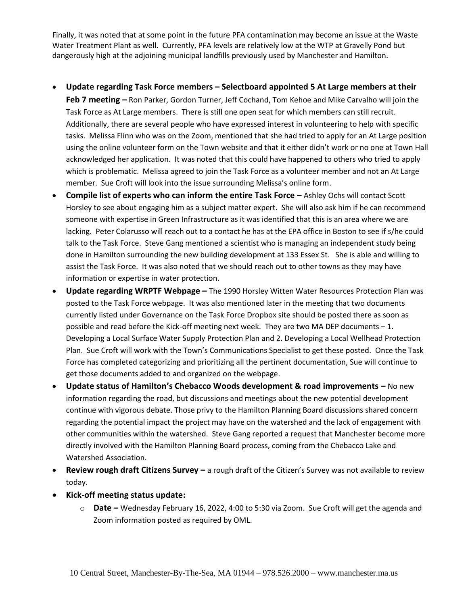Finally, it was noted that at some point in the future PFA contamination may become an issue at the Waste Water Treatment Plant as well. Currently, PFA levels are relatively low at the WTP at Gravelly Pond but dangerously high at the adjoining municipal landfills previously used by Manchester and Hamilton.

• **Update regarding Task Force members – Selectboard appointed 5 At Large members at their** 

**Feb 7 meeting –** Ron Parker, Gordon Turner, Jeff Cochand, Tom Kehoe and Mike Carvalho will join the Task Force as At Large members. There is still one open seat for which members can still recruit. Additionally, there are several people who have expressed interest in volunteering to help with specific tasks. Melissa Flinn who was on the Zoom, mentioned that she had tried to apply for an At Large position using the online volunteer form on the Town website and that it either didn't work or no one at Town Hall acknowledged her application. It was noted that this could have happened to others who tried to apply which is problematic. Melissa agreed to join the Task Force as a volunteer member and not an At Large member. Sue Croft will look into the issue surrounding Melissa's online form.

- **Compile list of experts who can inform the entire Task Force –** Ashley Ochs will contact Scott Horsley to see about engaging him as a subject matter expert. She will also ask him if he can recommend someone with expertise in Green Infrastructure as it was identified that this is an area where we are lacking. Peter Colarusso will reach out to a contact he has at the EPA office in Boston to see if s/he could talk to the Task Force. Steve Gang mentioned a scientist who is managing an independent study being done in Hamilton surrounding the new building development at 133 Essex St. She is able and willing to assist the Task Force. It was also noted that we should reach out to other towns as they may have information or expertise in water protection.
- **Update regarding WRPTF Webpage –** The 1990 Horsley Witten Water Resources Protection Plan was posted to the Task Force webpage. It was also mentioned later in the meeting that two documents currently listed under Governance on the Task Force Dropbox site should be posted there as soon as possible and read before the Kick-off meeting next week. They are two MA DEP documents – 1. Developing a Local Surface Water Supply Protection Plan and 2. Developing a Local Wellhead Protection Plan. Sue Croft will work with the Town's Communications Specialist to get these posted. Once the Task Force has completed categorizing and prioritizing all the pertinent documentation, Sue will continue to get those documents added to and organized on the webpage.
- **Update status of Hamilton's Chebacco Woods development & road improvements –** No new information regarding the road, but discussions and meetings about the new potential development continue with vigorous debate. Those privy to the Hamilton Planning Board discussions shared concern regarding the potential impact the project may have on the watershed and the lack of engagement with other communities within the watershed. Steve Gang reported a request that Manchester become more directly involved with the Hamilton Planning Board process, coming from the Chebacco Lake and Watershed Association.
- **Review rough draft Citizens Survey –** a rough draft of the Citizen's Survey was not available to review today.
- **Kick-off meeting status update:**
	- o **Date –** Wednesday February 16, 2022, 4:00 to 5:30 via Zoom. Sue Croft will get the agenda and Zoom information posted as required by OML.